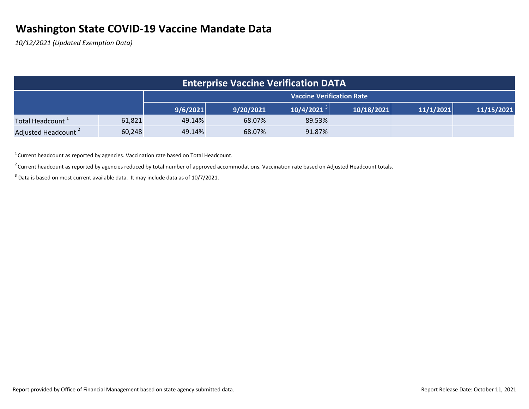## **Washington State COVID-19 Vaccine Mandate Data**

*10/12/2021 (Updated Exemption Data)*

|                                 |        |          |           | <b>Enterprise Vaccine Verification DATA</b> |            |           |            |
|---------------------------------|--------|----------|-----------|---------------------------------------------|------------|-----------|------------|
|                                 |        |          |           |                                             |            |           |            |
|                                 |        | 9/6/2021 | 9/20/2021 | $10/4/2021^{3}$                             | 10/18/2021 | 11/1/2021 | 11/15/2021 |
| Total Headcount <sup>1</sup>    | 61,821 | 49.14%   | 68.07%    | 89.53%                                      |            |           |            |
| Adjusted Headcount <sup>2</sup> | 60,248 | 49.14%   | 68.07%    | 91.87%                                      |            |           |            |

 $1$  Current headcount as reported by agencies. Vaccination rate based on Total Headcount.

 $2$  Current headcount as reported by agencies reduced by total number of approved accommodations. Vaccination rate based on Adjusted Headcount totals.

 $^3$  Data is based on most current available data. It may include data as of 10/7/2021.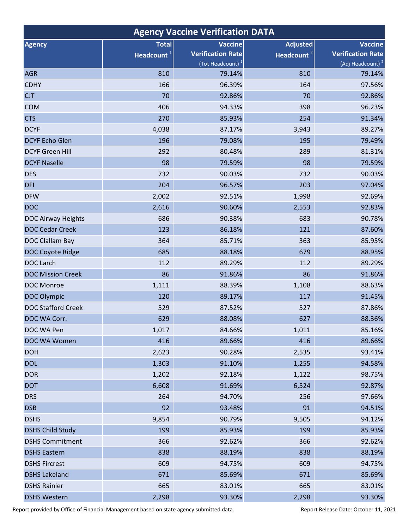| <b>Agency Vaccine Verification DATA</b> |                                        |                                                                            |                                           |                                                                            |  |  |  |  |  |  |  |
|-----------------------------------------|----------------------------------------|----------------------------------------------------------------------------|-------------------------------------------|----------------------------------------------------------------------------|--|--|--|--|--|--|--|
| <b>Agency</b>                           | <b>Total</b><br>Headcount <sup>1</sup> | <b>Vaccine</b><br><b>Verification Rate</b><br>(Tot Headcount) <sup>1</sup> | <b>Adjusted</b><br>Headcount <sup>2</sup> | <b>Vaccine</b><br><b>Verification Rate</b><br>(Adj Headcount) <sup>2</sup> |  |  |  |  |  |  |  |
| <b>AGR</b>                              | 810                                    | 79.14%                                                                     | 810                                       | 79.14%                                                                     |  |  |  |  |  |  |  |
| <b>CDHY</b>                             | 166                                    | 96.39%                                                                     | 164                                       | 97.56%                                                                     |  |  |  |  |  |  |  |
| <b>CJT</b>                              | 70                                     | 92.86%                                                                     | 70                                        | 92.86%                                                                     |  |  |  |  |  |  |  |
| <b>COM</b>                              | 406                                    | 94.33%                                                                     | 398                                       | 96.23%                                                                     |  |  |  |  |  |  |  |
| <b>CTS</b>                              | 270                                    | 85.93%                                                                     | 254                                       | 91.34%                                                                     |  |  |  |  |  |  |  |
| <b>DCYF</b>                             | 4,038                                  | 87.17%                                                                     | 3,943                                     | 89.27%                                                                     |  |  |  |  |  |  |  |
| <b>DCYF Echo Glen</b>                   | 196                                    | 79.08%                                                                     | 195                                       | 79.49%                                                                     |  |  |  |  |  |  |  |
| <b>DCYF Green Hill</b>                  | 292                                    | 80.48%                                                                     | 289                                       | 81.31%                                                                     |  |  |  |  |  |  |  |
| <b>DCYF Naselle</b>                     | 98                                     | 79.59%                                                                     | 98                                        | 79.59%                                                                     |  |  |  |  |  |  |  |
| <b>DES</b>                              | 732                                    | 90.03%                                                                     | 732                                       | 90.03%                                                                     |  |  |  |  |  |  |  |
| <b>DFI</b>                              | 204                                    | 96.57%                                                                     | 203                                       | 97.04%                                                                     |  |  |  |  |  |  |  |
| <b>DFW</b>                              | 2,002                                  | 92.51%                                                                     | 1,998                                     | 92.69%                                                                     |  |  |  |  |  |  |  |
| <b>DOC</b>                              | 2,616                                  | 90.60%                                                                     | 2,553                                     | 92.83%                                                                     |  |  |  |  |  |  |  |
| DOC Airway Heights                      | 686                                    | 90.38%                                                                     | 683                                       | 90.78%                                                                     |  |  |  |  |  |  |  |
| <b>DOC Cedar Creek</b>                  | 123                                    | 86.18%                                                                     | 121                                       | 87.60%                                                                     |  |  |  |  |  |  |  |
| DOC Clallam Bay                         | 364                                    | 85.71%                                                                     | 363                                       | 85.95%                                                                     |  |  |  |  |  |  |  |
| DOC Coyote Ridge                        | 685                                    | 88.18%                                                                     | 679                                       | 88.95%                                                                     |  |  |  |  |  |  |  |
| <b>DOC Larch</b>                        | 112                                    | 89.29%                                                                     | 112                                       | 89.29%                                                                     |  |  |  |  |  |  |  |
| <b>DOC Mission Creek</b>                | 86                                     | 91.86%                                                                     | 86                                        | 91.86%                                                                     |  |  |  |  |  |  |  |
| DOC Monroe                              | 1,111                                  | 88.39%                                                                     | 1,108                                     | 88.63%                                                                     |  |  |  |  |  |  |  |
| <b>DOC Olympic</b>                      | 120                                    | 89.17%                                                                     | 117                                       | 91.45%                                                                     |  |  |  |  |  |  |  |
| <b>DOC Stafford Creek</b>               | 529                                    | 87.52%                                                                     | 527                                       | 87.86%                                                                     |  |  |  |  |  |  |  |
| DOC WA Corr.                            | 629                                    | 88.08%                                                                     | 627                                       | 88.36%                                                                     |  |  |  |  |  |  |  |
| DOC WA Pen                              | 1,017                                  | 84.66%                                                                     | 1,011                                     | 85.16%                                                                     |  |  |  |  |  |  |  |
| DOC WA Women                            | 416                                    | 89.66%                                                                     | 416                                       | 89.66%                                                                     |  |  |  |  |  |  |  |
| <b>DOH</b>                              | 2,623                                  | 90.28%                                                                     | 2,535                                     | 93.41%                                                                     |  |  |  |  |  |  |  |
| <b>DOL</b>                              | 1,303                                  | 91.10%                                                                     | 1,255                                     | 94.58%                                                                     |  |  |  |  |  |  |  |
| <b>DOR</b>                              | 1,202                                  | 92.18%                                                                     | 1,122                                     | 98.75%                                                                     |  |  |  |  |  |  |  |
| <b>DOT</b>                              | 6,608                                  | 91.69%                                                                     | 6,524                                     | 92.87%                                                                     |  |  |  |  |  |  |  |
| <b>DRS</b>                              | 264                                    | 94.70%                                                                     | 256                                       | 97.66%                                                                     |  |  |  |  |  |  |  |
| <b>DSB</b>                              | 92                                     | 93.48%                                                                     | 91                                        | 94.51%                                                                     |  |  |  |  |  |  |  |
| <b>DSHS</b>                             | 9,854                                  | 90.79%                                                                     | 9,505                                     | 94.12%                                                                     |  |  |  |  |  |  |  |
| <b>DSHS Child Study</b>                 | 199                                    | 85.93%                                                                     | 199                                       | 85.93%                                                                     |  |  |  |  |  |  |  |
| <b>DSHS Commitment</b>                  | 366                                    | 92.62%                                                                     | 366                                       | 92.62%                                                                     |  |  |  |  |  |  |  |
| <b>DSHS Eastern</b>                     | 838                                    | 88.19%                                                                     | 838                                       | 88.19%                                                                     |  |  |  |  |  |  |  |
| <b>DSHS Fircrest</b>                    | 609                                    | 94.75%                                                                     | 609                                       | 94.75%                                                                     |  |  |  |  |  |  |  |
| <b>DSHS Lakeland</b>                    | 671                                    | 85.69%                                                                     | 671                                       | 85.69%                                                                     |  |  |  |  |  |  |  |
| <b>DSHS Rainier</b>                     | 665                                    | 83.01%                                                                     | 665                                       | 83.01%                                                                     |  |  |  |  |  |  |  |
| <b>DSHS Western</b>                     | 2,298                                  | 93.30%                                                                     | 2,298                                     | 93.30%                                                                     |  |  |  |  |  |  |  |

Report provided by Office of Financial Management based on state agency submitted data. Report Release Date: October 11, 2021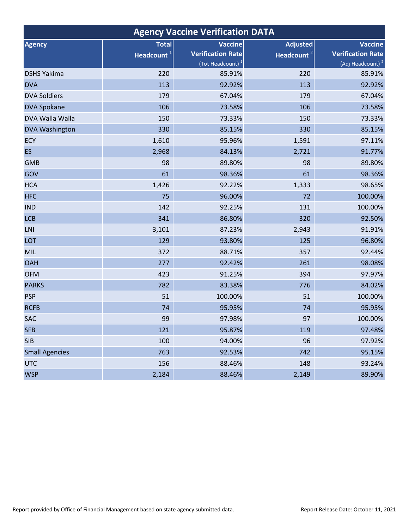| <b>Agency Vaccine Verification DATA</b> |                        |                              |                        |                              |  |  |  |  |  |  |  |
|-----------------------------------------|------------------------|------------------------------|------------------------|------------------------------|--|--|--|--|--|--|--|
| <b>Agency</b>                           | <b>Total</b>           | Vaccine                      | <b>Adjusted</b>        | <b>Vaccine</b>               |  |  |  |  |  |  |  |
|                                         | Headcount <sup>1</sup> | <b>Verification Rate</b>     | Headcount <sup>2</sup> | <b>Verification Rate</b>     |  |  |  |  |  |  |  |
|                                         |                        | (Tot Headcount) <sup>1</sup> |                        | (Adj Headcount) <sup>2</sup> |  |  |  |  |  |  |  |
| <b>DSHS Yakima</b>                      | 220                    | 85.91%                       | 220                    | 85.91%                       |  |  |  |  |  |  |  |
| <b>DVA</b>                              | 113                    | 92.92%                       | 113                    | 92.92%                       |  |  |  |  |  |  |  |
| <b>DVA Soldiers</b>                     | 179                    | 67.04%                       | 179                    | 67.04%                       |  |  |  |  |  |  |  |
| <b>DVA Spokane</b>                      | 106                    | 73.58%                       | 106                    | 73.58%                       |  |  |  |  |  |  |  |
| DVA Walla Walla                         | 150                    | 73.33%                       | 150                    | 73.33%                       |  |  |  |  |  |  |  |
| <b>DVA Washington</b>                   | 330                    | 85.15%                       | 330                    | 85.15%                       |  |  |  |  |  |  |  |
| ECY                                     | 1,610                  | 95.96%                       | 1,591                  | 97.11%                       |  |  |  |  |  |  |  |
| <b>ES</b>                               | 2,968                  | 84.13%                       | 2,721                  | 91.77%                       |  |  |  |  |  |  |  |
| <b>GMB</b>                              | 98                     | 89.80%                       | 98                     | 89.80%                       |  |  |  |  |  |  |  |
| GOV                                     | 61                     | 98.36%                       | 61                     | 98.36%                       |  |  |  |  |  |  |  |
| <b>HCA</b>                              | 1,426                  | 92.22%                       | 1,333                  | 98.65%                       |  |  |  |  |  |  |  |
| <b>HFC</b>                              | 75                     | 96.00%                       | 72                     | 100.00%                      |  |  |  |  |  |  |  |
| <b>IND</b>                              | 142                    | 92.25%                       | 131                    | 100.00%                      |  |  |  |  |  |  |  |
| <b>LCB</b>                              | 341                    | 86.80%                       | 320                    | 92.50%                       |  |  |  |  |  |  |  |
| <b>LNI</b>                              | 3,101                  | 87.23%                       | 2,943                  | 91.91%                       |  |  |  |  |  |  |  |
| LOT                                     | 129                    | 93.80%                       | 125                    | 96.80%                       |  |  |  |  |  |  |  |
| MIL                                     | 372                    | 88.71%                       | 357                    | 92.44%                       |  |  |  |  |  |  |  |
| <b>OAH</b>                              | 277                    | 92.42%                       | 261                    | 98.08%                       |  |  |  |  |  |  |  |
| <b>OFM</b>                              | 423                    | 91.25%                       | 394                    | 97.97%                       |  |  |  |  |  |  |  |
| <b>PARKS</b>                            | 782                    | 83.38%                       | 776                    | 84.02%                       |  |  |  |  |  |  |  |
| <b>PSP</b>                              | 51                     | 100.00%                      | 51                     | 100.00%                      |  |  |  |  |  |  |  |
| <b>RCFB</b>                             | 74                     | 95.95%                       | 74                     | 95.95%                       |  |  |  |  |  |  |  |
| SAC                                     | 99                     | 97.98%                       | 97                     | 100.00%                      |  |  |  |  |  |  |  |
| <b>SFB</b>                              | 121                    | 95.87%                       | 119                    | 97.48%                       |  |  |  |  |  |  |  |
| <b>SIB</b>                              | 100                    | 94.00%                       | 96                     | 97.92%                       |  |  |  |  |  |  |  |
| <b>Small Agencies</b>                   | 763                    | 92.53%                       | 742                    | 95.15%                       |  |  |  |  |  |  |  |
| <b>UTC</b>                              | 156                    | 88.46%                       | 148                    | 93.24%                       |  |  |  |  |  |  |  |
| <b>WSP</b>                              | 2,184                  | 88.46%                       | 2,149                  | 89.90%                       |  |  |  |  |  |  |  |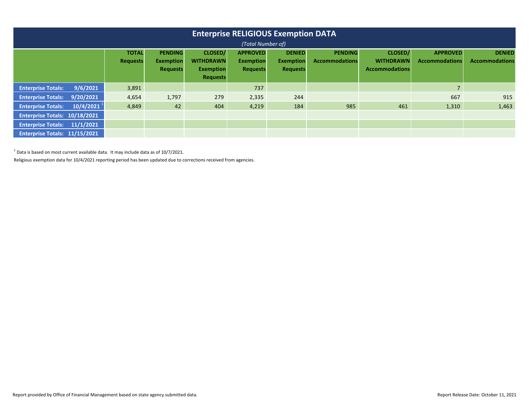| <b>Enterprise RELIGIOUS Exemption DATA</b><br>(Total Number of) |           |                                 |                                    |                             |                                     |                                   |                                  |                                    |                                          |                                        |  |  |
|-----------------------------------------------------------------|-----------|---------------------------------|------------------------------------|-----------------------------|-------------------------------------|-----------------------------------|----------------------------------|------------------------------------|------------------------------------------|----------------------------------------|--|--|
|                                                                 |           | <b>TOTAL</b><br><b>Requests</b> | <b>PENDING</b><br><b>Exemption</b> | CLOSED/<br><b>WITHDRAWN</b> | <b>APPROVED</b><br><b>Exemption</b> | <b>DENIED</b><br><b>Exemption</b> | <b>PENDING</b><br>Accommodations | <b>CLOSED/</b><br><b>WITHDRAWN</b> | <b>APPROVED</b><br><b>Accommodations</b> | <b>DENIED</b><br><b>Accommodations</b> |  |  |
|                                                                 |           |                                 | <b>Requests</b>                    | <b>Exemption</b>            | <b>Requests</b>                     | <b>Requests</b>                   |                                  | <b>Accommodations</b>              |                                          |                                        |  |  |
|                                                                 |           |                                 |                                    | <b>Requests</b>             |                                     |                                   |                                  |                                    |                                          |                                        |  |  |
| <b>Enterprise Totals:</b>                                       | 9/6/2021  | 3,891                           |                                    |                             | 737                                 |                                   |                                  |                                    | $\overline{7}$                           |                                        |  |  |
| <b>Enterprise Totals:</b>                                       | 9/20/2021 | 4,654                           | 1,797                              | 279                         | 2,335                               | 244                               |                                  |                                    | 667                                      | 915                                    |  |  |
| <b>Enterprise Totals:</b>                                       | 10/4/2021 | 4,849                           | 42                                 | 404                         | 4,219                               | 184                               | 985                              | 461                                | 1,310                                    | 1,463                                  |  |  |
| Enterprise Totals: 10/18/2021                                   |           |                                 |                                    |                             |                                     |                                   |                                  |                                    |                                          |                                        |  |  |
| Enterprise Totals: 11/1/2021                                    |           |                                 |                                    |                             |                                     |                                   |                                  |                                    |                                          |                                        |  |  |
| <b>Enterprise Totals: 11/15/2021</b>                            |           |                                 |                                    |                             |                                     |                                   |                                  |                                    |                                          |                                        |  |  |

 $^1$  Data is based on most current available data. It may include data as of 10/7/2021.

Religious exemption data for 10/4/2021 reporting period has been updated due to corrections received from agencies.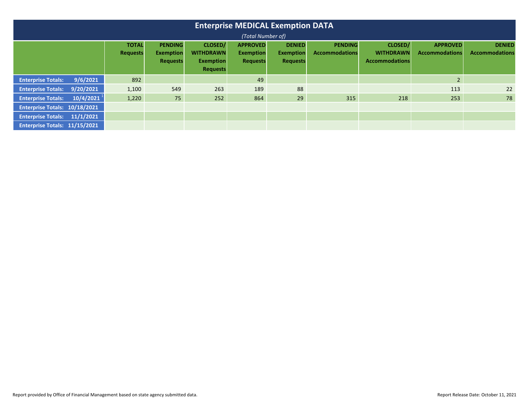| <b>Enterprise MEDICAL Exemption DATA</b><br>(Total Number of) |                          |                                 |                                                       |                                                                    |                                                        |                                                      |                                         |                                                      |                                          |                                        |  |  |  |
|---------------------------------------------------------------|--------------------------|---------------------------------|-------------------------------------------------------|--------------------------------------------------------------------|--------------------------------------------------------|------------------------------------------------------|-----------------------------------------|------------------------------------------------------|------------------------------------------|----------------------------------------|--|--|--|
|                                                               |                          | <b>TOTAL</b><br><b>Requests</b> | <b>PENDING</b><br><b>Exemption</b><br><b>Requests</b> | CLOSED/<br><b>WITHDRAWN</b><br><b>Exemption</b><br><b>Requests</b> | <b>APPROVED</b><br><b>Exemption</b><br><b>Requests</b> | <b>DENIED</b><br><b>Exemption</b><br><b>Requests</b> | <b>PENDING</b><br><b>Accommodations</b> | CLOSED/<br><b>WITHDRAWN</b><br><b>Accommodations</b> | <b>APPROVED</b><br><b>Accommodations</b> | <b>DENIED</b><br><b>Accommodations</b> |  |  |  |
| <b>Enterprise Totals:</b>                                     | 9/6/2021                 | 892                             |                                                       |                                                                    | 49                                                     |                                                      |                                         |                                                      | 2 <sup>2</sup>                           |                                        |  |  |  |
| <b>Enterprise Totals:</b>                                     | 9/20/2021                | 1,100                           | 549                                                   | 263                                                                | 189                                                    | 88                                                   |                                         |                                                      | 113                                      | 22                                     |  |  |  |
| <b>Enterprise Totals:</b>                                     | $10/4/2021$ <sup>1</sup> | 1,220                           | 75                                                    | 252                                                                | 864                                                    | 29                                                   | 315                                     | 218                                                  | 253                                      | 78                                     |  |  |  |
| Enterprise Totals: 10/18/2021                                 |                          |                                 |                                                       |                                                                    |                                                        |                                                      |                                         |                                                      |                                          |                                        |  |  |  |
| Enterprise Totals: 11/1/2021                                  |                          |                                 |                                                       |                                                                    |                                                        |                                                      |                                         |                                                      |                                          |                                        |  |  |  |
| Enterprise Totals: 11/15/2021                                 |                          |                                 |                                                       |                                                                    |                                                        |                                                      |                                         |                                                      |                                          |                                        |  |  |  |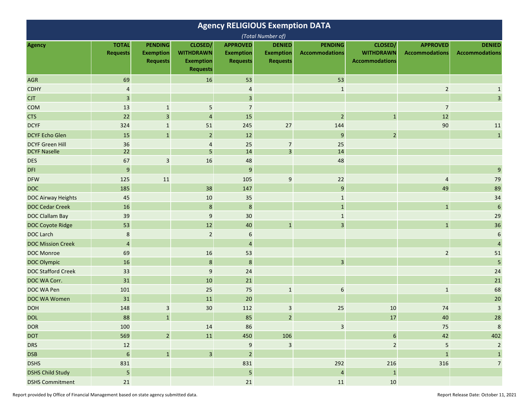| <b>Agency RELIGIOUS Exemption DATA</b> |                                 |                                                       |                                                                    |                                                        |                                                      |                                         |                                                      |                                          |                                        |  |  |
|----------------------------------------|---------------------------------|-------------------------------------------------------|--------------------------------------------------------------------|--------------------------------------------------------|------------------------------------------------------|-----------------------------------------|------------------------------------------------------|------------------------------------------|----------------------------------------|--|--|
|                                        |                                 |                                                       |                                                                    |                                                        | (Total Number of)                                    |                                         |                                                      |                                          |                                        |  |  |
| <b>Agency</b>                          | <b>TOTAL</b><br><b>Requests</b> | <b>PENDING</b><br><b>Exemption</b><br><b>Requests</b> | CLOSED/<br><b>WITHDRAWN</b><br><b>Exemption</b><br><b>Requests</b> | <b>APPROVED</b><br><b>Exemption</b><br><b>Requests</b> | <b>DENIED</b><br><b>Exemption</b><br><b>Requests</b> | <b>PENDING</b><br><b>Accommodations</b> | CLOSED/<br><b>WITHDRAWN</b><br><b>Accommodations</b> | <b>APPROVED</b><br><b>Accommodations</b> | <b>DENIED</b><br><b>Accommodations</b> |  |  |
| <b>AGR</b>                             | 69                              |                                                       | 16                                                                 | 53                                                     |                                                      | 53                                      |                                                      |                                          |                                        |  |  |
| <b>CDHY</b>                            | $\overline{4}$                  |                                                       |                                                                    | 4                                                      |                                                      | $\mathbf{1}$                            |                                                      | $\overline{2}$                           | $\mathbf{1}$                           |  |  |
| <b>CJT</b>                             | $\overline{\mathbf{3}}$         |                                                       |                                                                    | $\overline{\mathbf{3}}$                                |                                                      |                                         |                                                      |                                          | $\overline{3}$                         |  |  |
| <b>COM</b>                             | 13                              | $\mathbf{1}$                                          | 5                                                                  | $\overline{\phantom{a}}$                               |                                                      |                                         |                                                      | $\overline{7}$                           |                                        |  |  |
| <b>CTS</b>                             | 22                              | $\overline{3}$                                        | $\overline{4}$                                                     | 15                                                     |                                                      | $\mathbf 2$                             | $\mathbf{1}$                                         | 12                                       |                                        |  |  |
| <b>DCYF</b>                            | 324                             | $\mathbf{1}$                                          | 51                                                                 | 245                                                    | 27                                                   | 144                                     |                                                      | 90                                       | 11                                     |  |  |
| <b>DCYF Echo Glen</b>                  | 15                              | $\mathbf{1}$                                          | $\overline{2}$                                                     | 12                                                     |                                                      | $\boldsymbol{9}$                        | $\overline{2}$                                       |                                          | $\mathbf{1}$                           |  |  |
| <b>DCYF Green Hill</b>                 | 36                              |                                                       | 4                                                                  | 25                                                     | $\overline{7}$                                       | 25                                      |                                                      |                                          |                                        |  |  |
| <b>DCYF Naselle</b>                    | 22                              |                                                       | 5                                                                  | 14                                                     | $\overline{3}$                                       | 14                                      |                                                      |                                          |                                        |  |  |
| <b>DES</b>                             | 67                              | 3                                                     | 16                                                                 | 48                                                     |                                                      | 48                                      |                                                      |                                          |                                        |  |  |
| <b>DFI</b>                             | $\boldsymbol{9}$                |                                                       |                                                                    | $\boldsymbol{9}$                                       |                                                      |                                         |                                                      |                                          | 9                                      |  |  |
| <b>DFW</b>                             | 125                             | 11                                                    |                                                                    | 105                                                    | 9                                                    | 22                                      |                                                      | $\overline{4}$                           | 79                                     |  |  |
| <b>DOC</b>                             | 185                             |                                                       | 38                                                                 | 147                                                    |                                                      | 9                                       |                                                      | 49                                       | 89                                     |  |  |
| <b>DOC Airway Heights</b>              | 45                              |                                                       | 10                                                                 | 35                                                     |                                                      | $\mathbf{1}$                            |                                                      |                                          | 34                                     |  |  |
| <b>DOC Cedar Creek</b>                 | 16                              |                                                       | $\,8\,$                                                            | $\bf 8$                                                |                                                      | $1\,$                                   |                                                      | $\mathbf{1}$                             | $\boldsymbol{6}$                       |  |  |
| <b>DOC Clallam Bay</b>                 | 39                              |                                                       | 9                                                                  | 30                                                     |                                                      | $1\,$                                   |                                                      |                                          | 29                                     |  |  |
| <b>DOC Coyote Ridge</b>                | 53                              |                                                       | 12                                                                 | 40                                                     | $\mathbf{1}$                                         | 3                                       |                                                      | $\mathbf{1}$                             | 36                                     |  |  |
| <b>DOC Larch</b>                       | $\bf 8$                         |                                                       | $\overline{2}$                                                     | 6                                                      |                                                      |                                         |                                                      |                                          | 6                                      |  |  |
| <b>DOC Mission Creek</b>               | $\overline{4}$                  |                                                       |                                                                    | $\overline{a}$                                         |                                                      |                                         |                                                      |                                          | $\overline{a}$                         |  |  |
| <b>DOC Monroe</b>                      | 69                              |                                                       | 16                                                                 | 53                                                     |                                                      |                                         |                                                      | $\overline{2}$                           | 51                                     |  |  |
| <b>DOC Olympic</b>                     | 16                              |                                                       | 8                                                                  | $\bf 8$                                                |                                                      | 3                                       |                                                      |                                          | 5                                      |  |  |
| <b>DOC Stafford Creek</b>              | 33                              |                                                       | $\boldsymbol{9}$                                                   | 24                                                     |                                                      |                                         |                                                      |                                          | 24                                     |  |  |
| DOC WA Corr.                           | 31                              |                                                       | 10                                                                 | 21                                                     |                                                      |                                         |                                                      |                                          | $21\,$                                 |  |  |
| DOC WA Pen                             | 101                             |                                                       | 25                                                                 | 75                                                     | $\mathbf{1}$                                         | 6                                       |                                                      | $\mathbf{1}$                             | 68                                     |  |  |
| DOC WA Women                           | 31                              |                                                       | 11                                                                 | 20                                                     |                                                      |                                         |                                                      |                                          | 20                                     |  |  |
| <b>DOH</b>                             | 148                             | 3                                                     | 30                                                                 | 112                                                    | 3                                                    | 25                                      | 10                                                   | 74                                       | $\overline{\mathbf{3}}$                |  |  |
| <b>DOL</b>                             | 88                              | $\mathbf{1}$                                          |                                                                    | 85                                                     | $\overline{2}$                                       |                                         | 17                                                   | 40                                       | 28                                     |  |  |
| <b>DOR</b>                             | 100                             |                                                       | 14                                                                 | 86                                                     |                                                      | $\overline{\mathbf{3}}$                 |                                                      | 75                                       | $\bf 8$                                |  |  |
| <b>DOT</b>                             | 569                             | $\sqrt{2}$                                            | $11\,$                                                             | 450                                                    | 106                                                  |                                         | $\sqrt{6}$                                           | 42                                       | 402                                    |  |  |
| <b>DRS</b>                             | 12                              |                                                       |                                                                    | 9                                                      | $\mathsf{3}$                                         |                                         | $\overline{2}$                                       | 5                                        | $\overline{2}$                         |  |  |
| <b>DSB</b>                             | $\overline{6}$                  | $\mathbf 1$                                           | $\overline{3}$                                                     | $\overline{2}$                                         |                                                      |                                         |                                                      | $\mathbf{1}$                             | $\mathbf{1}$                           |  |  |
| <b>DSHS</b>                            | 831                             |                                                       |                                                                    | 831                                                    |                                                      | 292                                     | 216                                                  | 316                                      | $\overline{7}$                         |  |  |
| <b>DSHS Child Study</b>                | $\overline{\mathbf{5}}$         |                                                       |                                                                    | $\overline{\mathbf{5}}$                                |                                                      | $\overline{a}$                          | $\mathbf{1}$                                         |                                          |                                        |  |  |
| <b>DSHS Commitment</b>                 | 21                              |                                                       |                                                                    | $21\,$                                                 |                                                      | ${\bf 11}$                              | 10                                                   |                                          |                                        |  |  |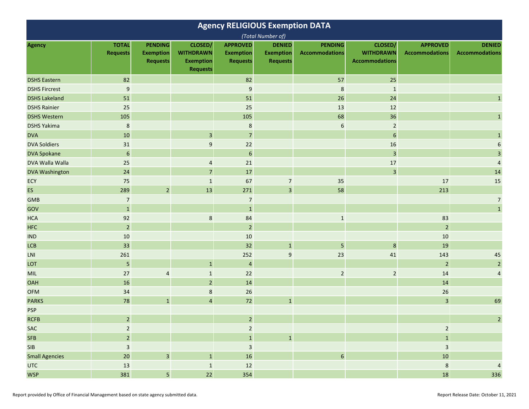| <b>Agency RELIGIOUS Exemption DATA</b> |                                 |                                                       |                                                                    |                                                        |                                                      |                                         |                                                      |                                          |                                        |  |  |
|----------------------------------------|---------------------------------|-------------------------------------------------------|--------------------------------------------------------------------|--------------------------------------------------------|------------------------------------------------------|-----------------------------------------|------------------------------------------------------|------------------------------------------|----------------------------------------|--|--|
|                                        |                                 |                                                       |                                                                    |                                                        | (Total Number of)                                    |                                         |                                                      |                                          |                                        |  |  |
| <b>Agency</b>                          | <b>TOTAL</b><br><b>Requests</b> | <b>PENDING</b><br><b>Exemption</b><br><b>Requests</b> | CLOSED/<br><b>WITHDRAWN</b><br><b>Exemption</b><br><b>Requests</b> | <b>APPROVED</b><br><b>Exemption</b><br><b>Requests</b> | <b>DENIED</b><br><b>Exemption</b><br><b>Requests</b> | <b>PENDING</b><br><b>Accommodations</b> | CLOSED/<br><b>WITHDRAWN</b><br><b>Accommodations</b> | <b>APPROVED</b><br><b>Accommodations</b> | <b>DENIED</b><br><b>Accommodations</b> |  |  |
| <b>DSHS Eastern</b>                    | 82                              |                                                       |                                                                    | 82                                                     |                                                      | 57                                      | 25                                                   |                                          |                                        |  |  |
| <b>DSHS Fircrest</b>                   | $9\,$                           |                                                       |                                                                    | $\boldsymbol{9}$                                       |                                                      | $\,$ 8 $\,$                             | $\mathbf{1}$                                         |                                          |                                        |  |  |
| <b>DSHS Lakeland</b>                   | 51                              |                                                       |                                                                    | 51                                                     |                                                      | 26                                      | 24                                                   |                                          | $\mathbf{1}$                           |  |  |
| <b>DSHS Rainier</b>                    | 25                              |                                                       |                                                                    | 25                                                     |                                                      | 13                                      | 12                                                   |                                          |                                        |  |  |
| <b>DSHS Western</b>                    | 105                             |                                                       |                                                                    | 105                                                    |                                                      | 68                                      | 36                                                   |                                          | $\mathbf{1}$                           |  |  |
| <b>DSHS Yakima</b>                     | $\bf 8$                         |                                                       |                                                                    | $\bf 8$                                                |                                                      | $\boldsymbol{6}$                        | $\overline{2}$                                       |                                          |                                        |  |  |
| <b>DVA</b>                             | 10                              |                                                       | $\mathbf{3}$                                                       | $\overline{7}$                                         |                                                      |                                         | $6\,$                                                |                                          | $\mathbf{1}$                           |  |  |
| <b>DVA Soldiers</b>                    | 31                              |                                                       | 9                                                                  | 22                                                     |                                                      |                                         | 16                                                   |                                          | 6                                      |  |  |
| <b>DVA Spokane</b>                     | $\boldsymbol{6}$                |                                                       |                                                                    | $\boldsymbol{6}$                                       |                                                      |                                         | $\overline{3}$                                       |                                          | $\overline{\mathbf{3}}$                |  |  |
| DVA Walla Walla                        | 25                              |                                                       | $\overline{4}$                                                     | 21                                                     |                                                      |                                         | 17                                                   |                                          | $\sqrt{4}$                             |  |  |
| <b>DVA Washington</b>                  | 24                              |                                                       | $\overline{7}$                                                     | 17                                                     |                                                      |                                         | $\overline{3}$                                       |                                          | 14                                     |  |  |
| ECY                                    | 75                              |                                                       | $\mathbf{1}$                                                       | 67                                                     | $\overline{7}$                                       | 35                                      |                                                      | 17                                       | 15                                     |  |  |
| <b>ES</b>                              | 289                             | $\mathbf 2$                                           | 13                                                                 | 271                                                    | $\overline{\mathbf{3}}$                              | 58                                      |                                                      | 213                                      |                                        |  |  |
| <b>GMB</b>                             | $\overline{7}$                  |                                                       |                                                                    | $\overline{7}$                                         |                                                      |                                         |                                                      |                                          | $\overline{7}$                         |  |  |
| GOV                                    | $\mathbf 1$                     |                                                       |                                                                    | $\mathbf 1$                                            |                                                      |                                         |                                                      |                                          | $\mathbf 1$                            |  |  |
| <b>HCA</b>                             | 92                              |                                                       | $\bf 8$                                                            | 84                                                     |                                                      | $\mathbf 1$                             |                                                      | 83                                       |                                        |  |  |
| <b>HFC</b>                             | $\overline{2}$                  |                                                       |                                                                    | $\mathbf 2$                                            |                                                      |                                         |                                                      | $\overline{2}$                           |                                        |  |  |
| <b>IND</b>                             | 10                              |                                                       |                                                                    | 10                                                     |                                                      |                                         |                                                      | 10                                       |                                        |  |  |
| <b>LCB</b>                             | 33                              |                                                       |                                                                    | 32                                                     | $\mathbf{1}$                                         | 5                                       | $\bf 8$                                              | 19                                       |                                        |  |  |
| LNI                                    | 261                             |                                                       |                                                                    | 252                                                    | $\boldsymbol{9}$                                     | 23                                      | 41                                                   | 143                                      | 45                                     |  |  |
| LOT                                    | $\overline{5}$                  |                                                       | $\mathbf{1}$                                                       | $\overline{\mathbf{4}}$                                |                                                      |                                         |                                                      | $\overline{2}$                           | $\overline{2}$                         |  |  |
| MIL                                    | 27                              | $\overline{4}$                                        | $\mathbf{1}$                                                       | 22                                                     |                                                      | $\overline{2}$                          | $\overline{2}$                                       | 14                                       | $\overline{\mathbf{4}}$                |  |  |
| <b>OAH</b>                             | 16                              |                                                       | $\overline{2}$                                                     | 14                                                     |                                                      |                                         |                                                      | 14                                       |                                        |  |  |
| <b>OFM</b>                             | 34                              |                                                       | $\,8\,$                                                            | 26                                                     |                                                      |                                         |                                                      | 26                                       |                                        |  |  |
| <b>PARKS</b>                           | 78                              | $\mathbf{1}$                                          | $\overline{4}$                                                     | 72                                                     | $\mathbf{1}$                                         |                                         |                                                      | $\mathbf{3}$                             | 69                                     |  |  |
| <b>PSP</b>                             |                                 |                                                       |                                                                    |                                                        |                                                      |                                         |                                                      |                                          |                                        |  |  |
| <b>RCFB</b>                            | $\overline{2}$                  |                                                       |                                                                    | $\overline{2}$                                         |                                                      |                                         |                                                      |                                          | $\mathcal{L}$                          |  |  |
| SAC                                    | $\overline{2}$                  |                                                       |                                                                    | $\overline{2}$                                         |                                                      |                                         |                                                      | $\overline{2}$                           |                                        |  |  |
| <b>SFB</b>                             | $\overline{a}$                  |                                                       |                                                                    | $\mathbf 1$                                            | $\mathbf 1$                                          |                                         |                                                      | $\mathbf 1$                              |                                        |  |  |
| <b>SIB</b>                             | $\overline{\mathbf{3}}$         |                                                       |                                                                    | $\overline{\mathbf{3}}$                                |                                                      |                                         |                                                      | $\overline{\mathbf{3}}$                  |                                        |  |  |
| <b>Small Agencies</b>                  | $20\,$                          | $\overline{\mathbf{3}}$                               | $\mathbf{1}$                                                       | 16                                                     |                                                      | $\boldsymbol{6}$                        |                                                      | 10                                       |                                        |  |  |
| <b>UTC</b>                             | 13                              |                                                       | $\mathbf{1}$                                                       | 12                                                     |                                                      |                                         |                                                      | $\bf 8$                                  | $\overline{4}$                         |  |  |
| <b>WSP</b>                             | 381                             | $\overline{\mathbf{5}}$                               | 22                                                                 | 354                                                    |                                                      |                                         |                                                      | 18                                       | 336                                    |  |  |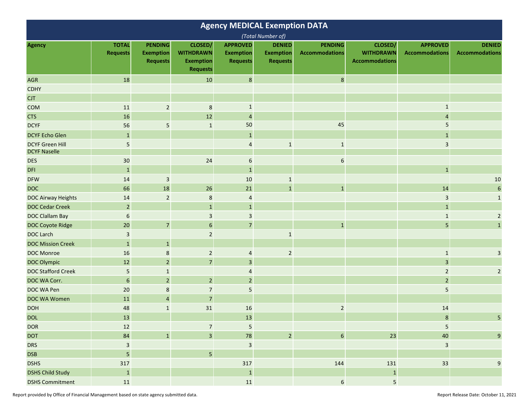| <b>Agency MEDICAL Exemption DATA</b>          |                                 |                                                       |                                                                    |                                                        |                                                      |                                         |                                                      |                                          |                                        |  |  |
|-----------------------------------------------|---------------------------------|-------------------------------------------------------|--------------------------------------------------------------------|--------------------------------------------------------|------------------------------------------------------|-----------------------------------------|------------------------------------------------------|------------------------------------------|----------------------------------------|--|--|
|                                               |                                 |                                                       |                                                                    |                                                        | (Total Number of)                                    |                                         |                                                      |                                          |                                        |  |  |
| <b>Agency</b>                                 | <b>TOTAL</b><br><b>Requests</b> | <b>PENDING</b><br><b>Exemption</b><br><b>Requests</b> | CLOSED/<br><b>WITHDRAWN</b><br><b>Exemption</b><br><b>Requests</b> | <b>APPROVED</b><br><b>Exemption</b><br><b>Requests</b> | <b>DENIED</b><br><b>Exemption</b><br><b>Requests</b> | <b>PENDING</b><br><b>Accommodations</b> | CLOSED/<br><b>WITHDRAWN</b><br><b>Accommodations</b> | <b>APPROVED</b><br><b>Accommodations</b> | <b>DENIED</b><br><b>Accommodations</b> |  |  |
| <b>AGR</b>                                    | 18                              |                                                       | 10                                                                 | $\boldsymbol{8}$                                       |                                                      | $\bf 8$                                 |                                                      |                                          |                                        |  |  |
| <b>CDHY</b>                                   |                                 |                                                       |                                                                    |                                                        |                                                      |                                         |                                                      |                                          |                                        |  |  |
| <b>CJT</b>                                    |                                 |                                                       |                                                                    |                                                        |                                                      |                                         |                                                      |                                          |                                        |  |  |
| <b>COM</b>                                    | 11                              | $\sqrt{2}$                                            | $\,$ 8 $\,$                                                        | $\mathbf{1}$                                           |                                                      |                                         |                                                      |                                          |                                        |  |  |
| <b>CTS</b>                                    | 16                              |                                                       | 12                                                                 | 4                                                      |                                                      |                                         |                                                      | 4                                        |                                        |  |  |
| <b>DCYF</b>                                   | 56                              | 5                                                     | $\mathbf{1}$                                                       | 50                                                     |                                                      | 45                                      |                                                      | 5                                        |                                        |  |  |
| <b>DCYF Echo Glen</b>                         | $\mathbf{1}$                    |                                                       |                                                                    | $\mathbf{1}$                                           |                                                      |                                         |                                                      |                                          |                                        |  |  |
| <b>DCYF Green Hill</b><br><b>DCYF Naselle</b> | 5                               |                                                       |                                                                    | $\overline{4}$                                         | $\mathbf{1}$                                         | $\mathbf{1}$                            |                                                      | 3                                        |                                        |  |  |
| <b>DES</b>                                    | 30                              |                                                       | 24                                                                 | 6                                                      |                                                      | 6                                       |                                                      |                                          |                                        |  |  |
| <b>DFI</b>                                    | $\mathbf 1$                     |                                                       |                                                                    | $\mathbf{1}$                                           |                                                      |                                         |                                                      | $\mathbf{1}$                             |                                        |  |  |
| <b>DFW</b>                                    | 14                              | $\mathsf 3$                                           |                                                                    | 10                                                     | $\mathbf{1}$                                         |                                         |                                                      |                                          | $10\,$                                 |  |  |
| <b>DOC</b>                                    | 66                              | 18                                                    | 26                                                                 | 21                                                     | $\mathbf{1}$                                         | $\mathbf{1}$                            |                                                      | 14                                       | $\boldsymbol{6}$                       |  |  |
| <b>DOC Airway Heights</b>                     | 14                              | $\overline{2}$                                        | 8                                                                  | $\overline{4}$                                         |                                                      |                                         |                                                      | 3                                        | $\mathbf 1$                            |  |  |
| <b>DOC Cedar Creek</b>                        | $\overline{2}$                  |                                                       | $\mathbf{1}$                                                       | $\mathbf{1}$                                           |                                                      |                                         |                                                      | $\mathbf{1}$                             |                                        |  |  |
| <b>DOC Clallam Bay</b>                        | 6                               |                                                       | 3                                                                  | $\mathsf 3$                                            |                                                      |                                         |                                                      | 1                                        | $\overline{2}$                         |  |  |
| <b>DOC Coyote Ridge</b>                       | 20                              | $\overline{7}$                                        | 6                                                                  | $\overline{7}$                                         |                                                      | $\mathbf{1}$                            |                                                      | 5                                        | $\mathbf{1}$                           |  |  |
| <b>DOC Larch</b>                              | $\overline{\mathbf{3}}$         |                                                       | $\overline{2}$                                                     |                                                        | $\mathbf{1}$                                         |                                         |                                                      |                                          |                                        |  |  |
| <b>DOC Mission Creek</b>                      | $\mathbf{1}$                    | $\mathbf{1}$                                          |                                                                    |                                                        |                                                      |                                         |                                                      |                                          |                                        |  |  |
| <b>DOC Monroe</b>                             | 16                              | 8                                                     | $\overline{2}$                                                     | 4                                                      | $\overline{2}$                                       |                                         |                                                      | $\mathbf{1}$                             | 3                                      |  |  |
| <b>DOC Olympic</b>                            | 12                              | $\overline{2}$                                        | $\overline{7}$                                                     | $\overline{3}$                                         |                                                      |                                         |                                                      | $\overline{3}$                           |                                        |  |  |
| <b>DOC Stafford Creek</b>                     | 5                               | $\mathbf{1}$                                          |                                                                    | 4                                                      |                                                      |                                         |                                                      | $\overline{2}$                           | $\overline{2}$                         |  |  |
| DOC WA Corr.                                  | $\boldsymbol{6}$                | $\sqrt{2}$                                            | $\sqrt{2}$                                                         | $\overline{2}$                                         |                                                      |                                         |                                                      | $\overline{2}$                           |                                        |  |  |
| DOC WA Pen                                    | 20                              | 8                                                     | $\overline{7}$                                                     | 5                                                      |                                                      |                                         |                                                      | 5                                        |                                        |  |  |
| DOC WA Women                                  | 11                              | $\overline{4}$                                        | $\overline{7}$                                                     |                                                        |                                                      |                                         |                                                      |                                          |                                        |  |  |
| <b>DOH</b>                                    | 48                              | $\mathbf{1}$                                          | 31                                                                 | 16                                                     |                                                      | $\overline{2}$                          |                                                      | 14                                       |                                        |  |  |
| <b>DOL</b>                                    | 13                              |                                                       |                                                                    | 13                                                     |                                                      |                                         |                                                      | 8                                        | 5 <sup>5</sup>                         |  |  |
| <b>DOR</b>                                    | 12                              |                                                       | $\overline{7}$                                                     | $\mathsf S$                                            |                                                      |                                         |                                                      | $\mathsf S$                              |                                        |  |  |
| <b>DOT</b>                                    | 84                              | $\mathbf 1$                                           | $\overline{\mathbf{3}}$                                            | 78                                                     | $\overline{2}$                                       | $\boldsymbol{6}$                        | 23                                                   | 40                                       | $\boldsymbol{9}$                       |  |  |
| <b>DRS</b>                                    | 3                               |                                                       |                                                                    | $\ensuremath{\mathsf{3}}$                              |                                                      |                                         |                                                      | 3                                        |                                        |  |  |
| <b>DSB</b>                                    | $\overline{\mathbf{5}}$         |                                                       | $5\overline{)}$                                                    |                                                        |                                                      |                                         |                                                      |                                          |                                        |  |  |
| <b>DSHS</b>                                   | 317                             |                                                       |                                                                    | 317                                                    |                                                      | 144                                     | 131                                                  | 33                                       | $\boldsymbol{9}$                       |  |  |
| <b>DSHS Child Study</b>                       | $\mathbf 1$                     |                                                       |                                                                    | $\mathbf 1$                                            |                                                      |                                         | $\,$ 1                                               |                                          |                                        |  |  |
| <b>DSHS Commitment</b>                        | ${\bf 11}$                      |                                                       |                                                                    | ${\bf 11}$                                             |                                                      | $\boldsymbol{6}$                        | $\overline{\mathbf{5}}$                              |                                          |                                        |  |  |